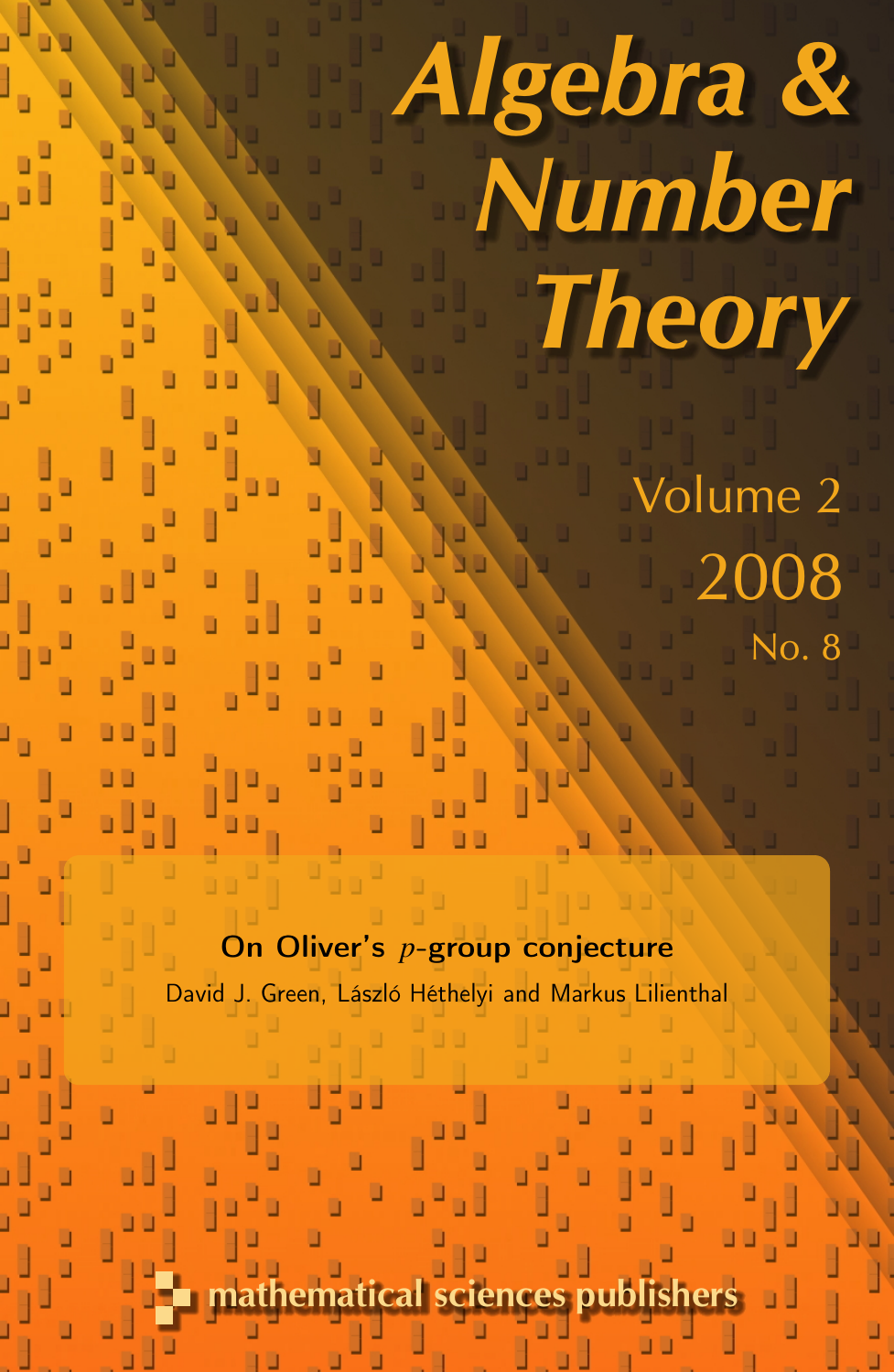# Algebra & Number **Theory**

Volume 2 2008 No. 8

On Oliver's *p*-group conjecture David J. Green, László Héthelyi and Markus Lilienthal

athematical sciences published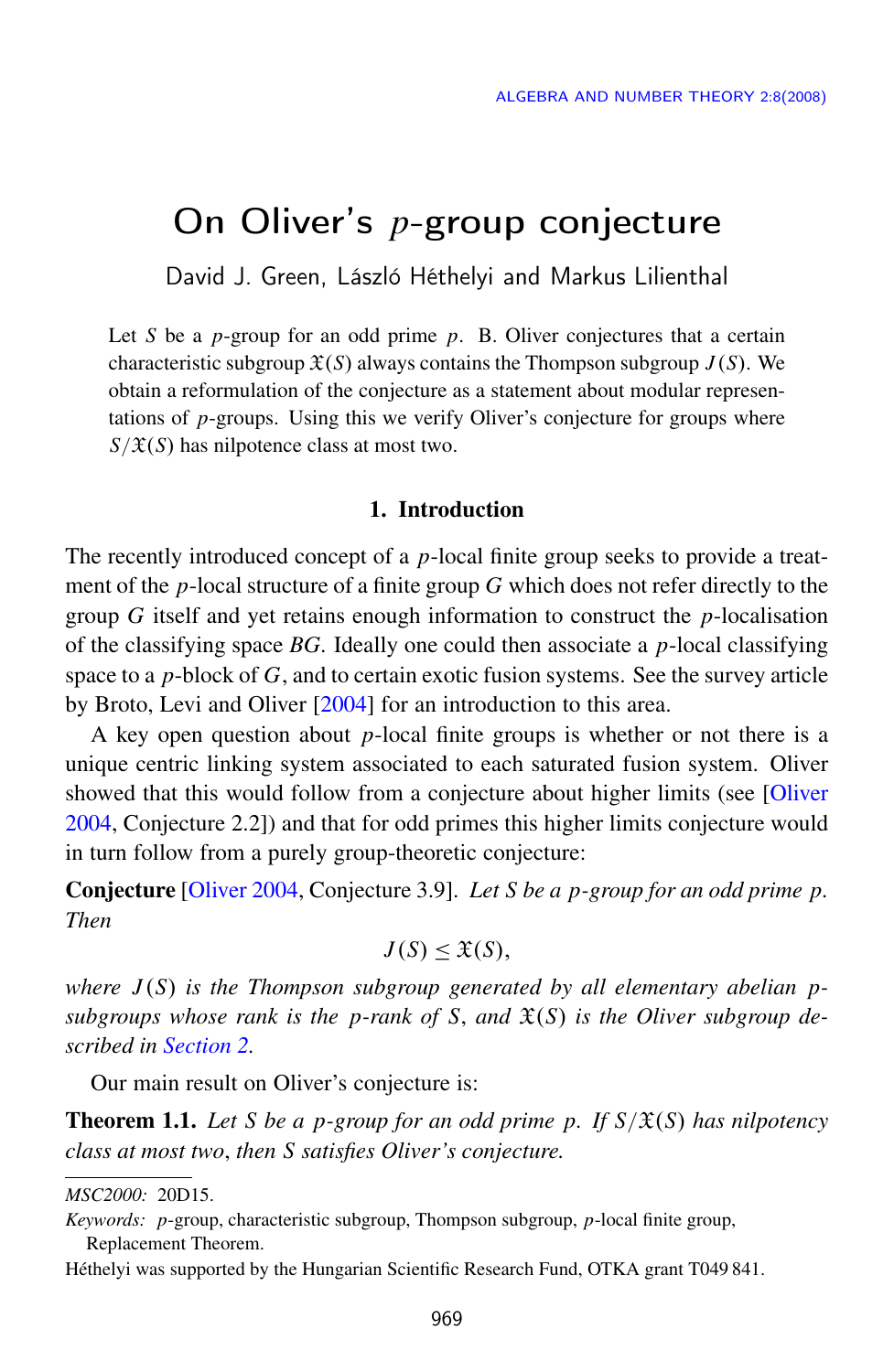# On Oliver's *p*-group conjecture

David J. Green, László Héthelyi and Markus Lilienthal

Let *S* be a *p*-group for an odd prime *p*. B. Oliver conjectures that a certain characteristic subgroup  $\mathfrak{X}(S)$  always contains the Thompson subgroup  $J(S)$ . We obtain a reformulation of the conjecture as a statement about modular representations of *p*-groups. Using this we verify Oliver's conjecture for groups where  $S/\mathfrak{X}(S)$  has nilpotence class at most two.

# 1. Introduction

The recently introduced concept of a *p*-local finite group seeks to provide a treatment of the *p*-local structure of a finite group *G* which does not refer directly to the group *G* itself and yet retains enough information to construct the *p*-localisation of the classifying space *BG*. Ideally one could then associate a *p*-local classifying space to a *p*-block of *G*, and to certain exotic fusion systems. See the survey article by Broto, Levi and Oliver [\[2004\]](#page-9-0) for an introduction to this area.

A key open question about *p*-local finite groups is whether or not there is a unique centric linking system associated to each saturated fusion system. Oliver showed that this would follow from a conjecture about higher limits (see [\[Oliver](#page-9-1) [2004,](#page-9-1) Conjecture 2.2]) and that for odd primes this higher limits conjecture would in turn follow from a purely group-theoretic conjecture:

Conjecture [\[Oliver 2004,](#page-9-1) Conjecture 3.9]. *Let S be a p-group for an odd prime p. Then*

$$
J(S) \leq \mathfrak{X}(S),
$$

*where J* (*S*) *is the Thompson subgroup generated by all elementary abelian p*subgroups whose rank is the p-rank of S, and  $\mathfrak{X}(S)$  is the Oliver subgroup de*scribed in [Section 2.](#page-3-0)*

Our main result on Oliver's conjecture is:

<span id="page-1-0"></span>**Theorem 1.1.** Let S be a p-group for an odd prime p. If  $S/\mathfrak{X}(S)$  has nilpotency *class at most two*, *then S satisfies Oliver's conjecture.*

Héthelyi was supported by the Hungarian Scientific Research Fund, OTKA grant T049 841.

*MSC2000:* 20D15.

*Keywords: p*-group, characteristic subgroup, Thompson subgroup, *p*-local finite group, Replacement Theorem.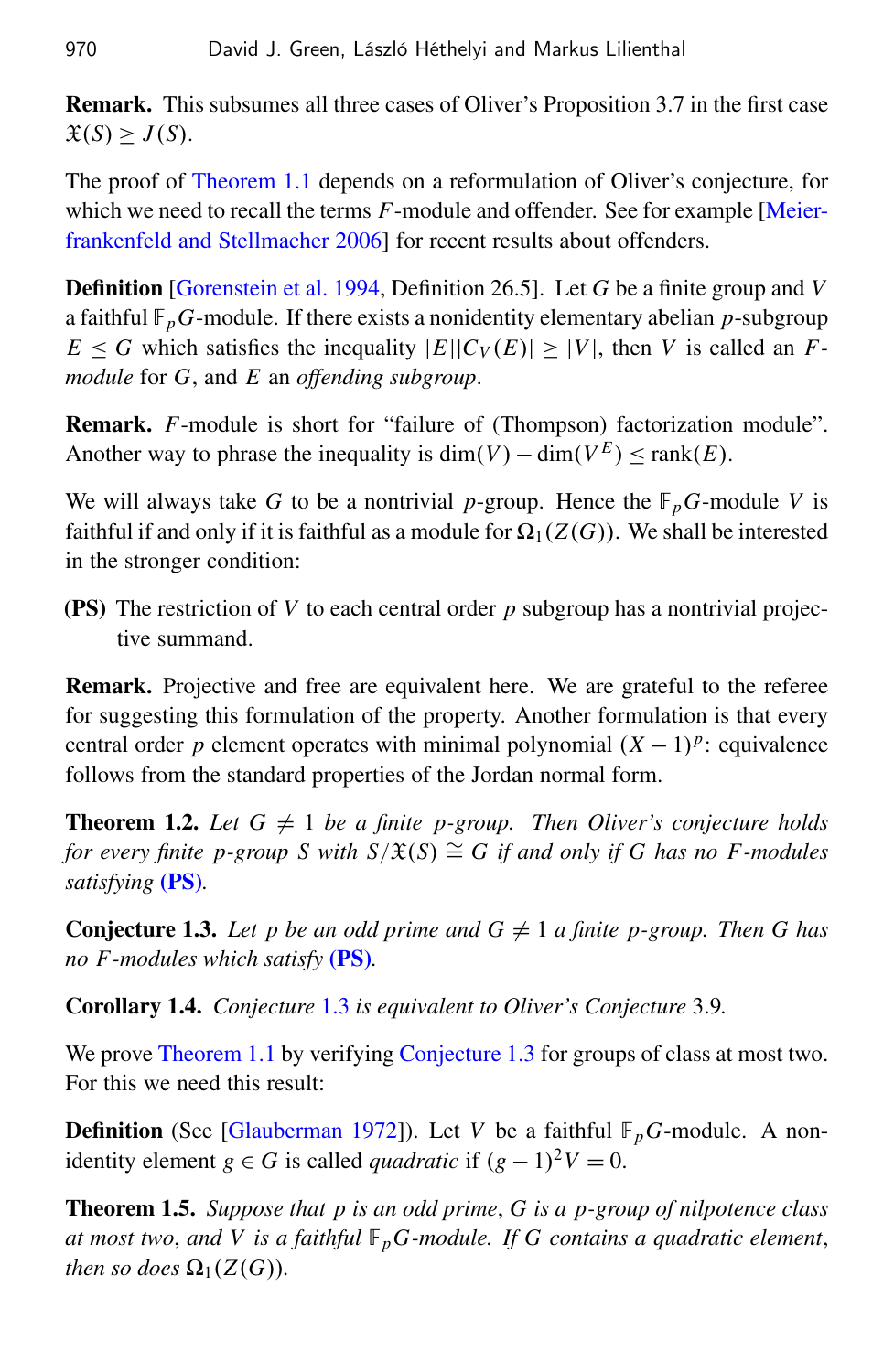Remark. This subsumes all three cases of Oliver's Proposition 3.7 in the first case  $\mathfrak{X}(S) \geq J(S)$ .

The proof of [Theorem 1.1](#page-1-0) depends on a reformulation of Oliver's conjecture, for which we need to recall the terms *F*-module and offender. See for example [\[Meier](#page-9-2)[frankenfeld and Stellmacher 2006\]](#page-9-2) for recent results about offenders.

Definition [\[Gorenstein et al. 1994,](#page-9-3) Definition 26.5]. Let *G* be a finite group and *V* a faithful  $\mathbb{F}_p$ *G*-module. If there exists a nonidentity elementary abelian *p*-subgroup  $E \leq G$  which satisfies the inequality  $|E||C_V(E)| \geq |V|$ , then *V* is called an *Fmodule* for *G*, and *E* an *offending subgroup*.

Remark. *F*-module is short for "failure of (Thompson) factorization module". Another way to phrase the inequality is  $\dim(V) - \dim(V^E) \leq \text{rank}(E)$ .

We will always take *G* to be a nontrivial *p*-group. Hence the  $\mathbb{F}_p$ *G*-module *V* is faithful if and only if it is faithful as a module for  $\Omega_1(Z(G))$ . We shall be interested in the stronger condition:

<span id="page-2-0"></span>(PS) The restriction of *V* to each central order *p* subgroup has a nontrivial projective summand.

Remark. Projective and free are equivalent here. We are grateful to the referee for suggesting this formulation of the property. Another formulation is that every central order *p* element operates with minimal polynomial  $(X - 1)^p$ : equivalence follows from the standard properties of the Jordan normal form.

<span id="page-2-2"></span>**Theorem 1.2.** Let  $G \neq 1$  be a finite p-group. Then Oliver's conjecture holds *for every finite p-group S with*  $S/\mathfrak{X}(S) \cong G$  *if and only if G has no F-modules satisfying* [\(PS\)](#page-2-0)*.*

<span id="page-2-1"></span>**Conjecture 1.3.** Let p be an odd prime and  $G \neq 1$  a finite p-group. Then G has *no F -modules which satisfy* [\(PS\)](#page-2-0)*.*

<span id="page-2-3"></span>Corollary 1.4. *Conjecture* [1.3](#page-2-1) *is equivalent to Oliver's Conjecture* 3.9*.*

We prove [Theorem 1.1](#page-1-0) by verifying [Conjecture 1.3](#page-2-1) for groups of class at most two. For this we need this result:

**Definition** (See [\[Glauberman 1972\]](#page-9-4)). Let *V* be a faithful  $\mathbb{F}_p$ *G*-module. A non*identity element g* ∈ *G* is called *quadratic* if  $(g - 1)^2 V = 0$ .

<span id="page-2-4"></span>Theorem 1.5. *Suppose that p is an odd prime*, *G is a p-group of nilpotence class at most two*, *and V is a faithful* F*pG-module. If G contains a quadratic element*, *then so does*  $\Omega_1(Z(G))$ *.*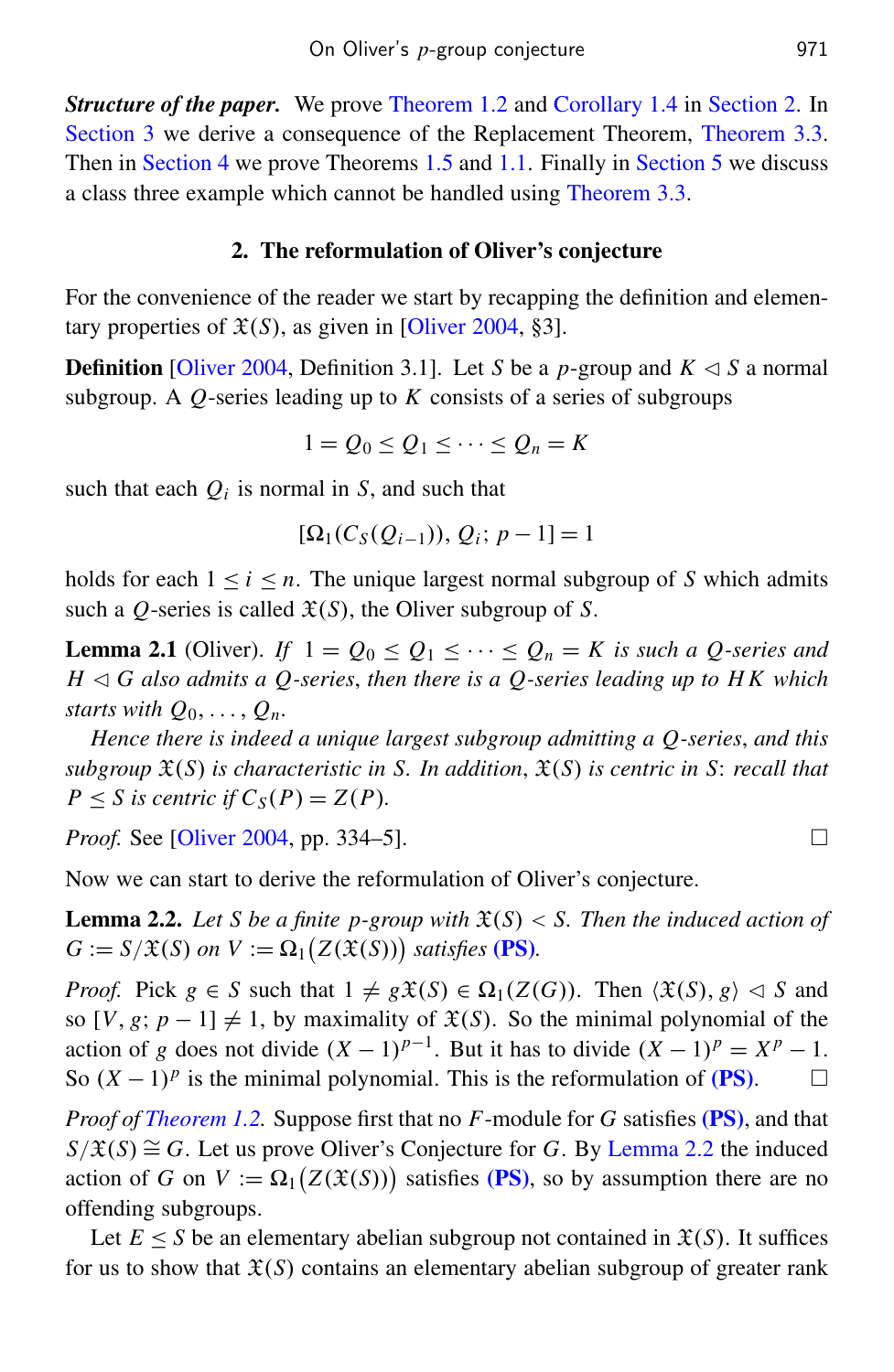*Structure of the paper.* We prove [Theorem 1.2](#page-2-2) and [Corollary 1.4](#page-2-3) in [Section 2.](#page-3-0) In [Section 3](#page-4-0) we derive a consequence of the Replacement Theorem, [Theorem 3.3.](#page-5-0) Then in [Section 4](#page-6-0) we prove Theorems [1.5](#page-2-4) and [1.1.](#page-1-0) Finally in [Section 5](#page-7-0) we discuss a class three example which cannot be handled using [Theorem 3.3.](#page-5-0)

# 2. The reformulation of Oliver's conjecture

<span id="page-3-0"></span>For the convenience of the reader we start by recapping the definition and elementary properties of  $\mathfrak{X}(S)$ , as given in [\[Oliver 2004,](#page-9-1) §3].

**Definition** [\[Oliver 2004,](#page-9-1) Definition 3.1]. Let *S* be a *p*-group and  $K \leq S$  a normal subgroup. A *Q*-series leading up to *K* consists of a series of subgroups

 $1 = Q_0 < Q_1 < \cdots < Q_n = K$ 

such that each  $Q_i$  is normal in  $S$ , and such that

$$
[\Omega_1(C_S(Q_{i-1})), Q_i; p-1] = 1
$$

holds for each  $1 \le i \le n$ . The unique largest normal subgroup of *S* which admits such a *Q*-series is called  $\mathfrak{X}(S)$ , the Oliver subgroup of *S*.

<span id="page-3-2"></span>**Lemma 2.1** (Oliver). If  $1 = Q_0 \leq Q_1 \leq \cdots \leq Q_n = K$  is such a Q-series and  $H \triangleleft G$  also admits a Q-series, then there is a Q-series leading up to HK which *starts with*  $Q_0, \ldots, Q_n$ .

*Hence there is indeed a unique largest subgroup admitting a Q-series*, *and this subgroup* X(*S*) *is characteristic in S. In addition*, X(*S*) *is centric in S*: *recall that*  $P \leq S$  *is centric if*  $C_S(P) = Z(P)$ *.* 

*Proof.* See [\[Oliver 2004,](#page-9-1) pp. 334–5]. □

Now we can start to derive the reformulation of Oliver's conjecture.

<span id="page-3-1"></span>**Lemma 2.2.** Let *S* be a finite p-group with  $\mathfrak{X}(S) < S$ . Then the induced action of  $G := S/\mathfrak{X}(S)$  *on*  $V := \Omega_1(Z(\mathfrak{X}(S)))$  *satisfies* [\(PS\)](#page-2-0)*.* 

*Proof.* Pick  $g \in S$  such that  $1 \neq g\mathfrak{X}(S) \in \Omega_1(Z(G))$ . Then  $\langle \mathfrak{X}(S), g \rangle \vartriangleleft S$  and so  $[V, g; p-1] \neq 1$ , by maximality of  $\mathfrak{X}(S)$ . So the minimal polynomial of the action of *g* does not divide  $(X - 1)^{p-1}$ . But it has to divide  $(X - 1)^p = X^p - 1$ . So  $(X - 1)<sup>p</sup>$  is the minimal polynomial. This is the reformulation of [\(PS\)](#page-2-0). □

*Proof of [Theorem 1.2.](#page-2-2)* Suppose first that no *F*-module for *G* satisfies [\(PS\)](#page-2-0), and that  $S/\mathfrak{X}(S) \cong G$ . Let us prove Oliver's Conjecture for *G*. By [Lemma 2.2](#page-3-1) the induced action of *G* on  $V := \Omega_1(Z(\mathfrak{X}(S)))$  satisfies [\(PS\)](#page-2-0), so by assumption there are no offending subgroups.

Let  $E \leq S$  be an elementary abelian subgroup not contained in  $\mathfrak{X}(S)$ . It suffices for us to show that  $\mathfrak{X}(S)$  contains an elementary abelian subgroup of greater rank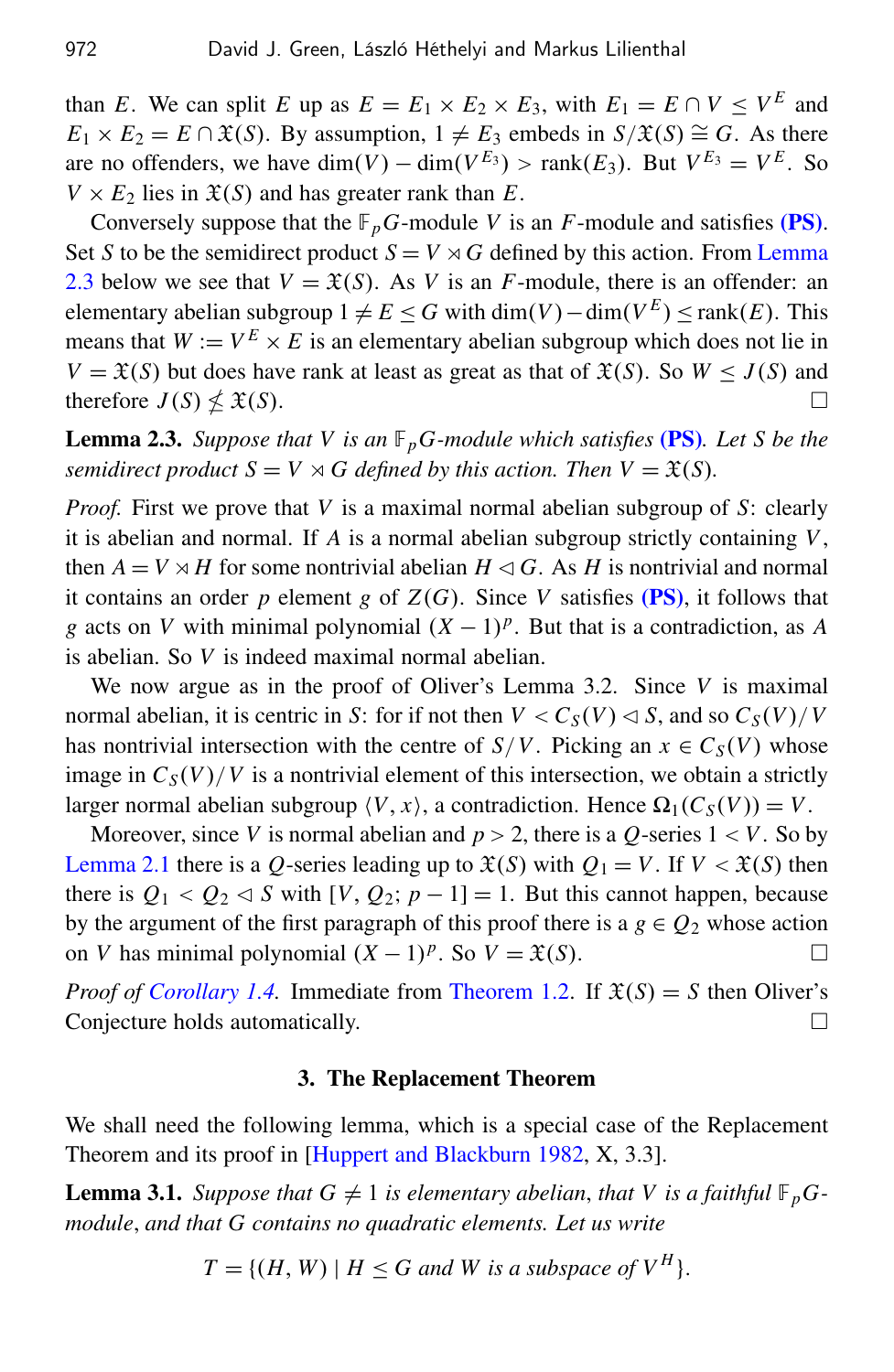than *E*. We can split *E* up as  $E = E_1 \times E_2 \times E_3$ , with  $E_1 = E \cap V \le V^E$  and  $E_1 \times E_2 = E \cap \mathfrak{X}(S)$ . By assumption,  $1 \neq E_3$  embeds in  $S/\mathfrak{X}(S) \cong G$ . As there are no offenders, we have  $\dim(V) - \dim(V^{E_3}) > \text{rank}(E_3)$ . But  $V^{E_3} = V^{E}$ . So  $V \times E_2$  lies in  $\mathfrak{X}(S)$  and has greater rank than *E*.

Conversely suppose that the  $\mathbb{F}_p$ *G*-module *V* is an *F*-module and satisfies [\(PS\)](#page-2-0). Set *S* to be the semidirect product  $S = V \rtimes G$  defined by this action. From [Lemma](#page-4-1) [2.3](#page-4-1) below we see that  $V = \mathfrak{X}(S)$ . As *V* is an *F*-module, there is an offender: an elementary abelian subgroup  $1 \neq E$  ≤ *G* with dim(*V*) − dim( $V^E$ ) ≤ rank(*E*). This means that  $W := V^E \times E$  is an elementary abelian subgroup which does not lie in *V* =  $\mathfrak{X}(S)$  but does have rank at least as great as that of  $\mathfrak{X}(S)$ . So *W*  $\leq J(S)$  and therefore  $J(S) \nleq \mathfrak{X}(S)$ .  $\mathfrak{X}(S)$ .

<span id="page-4-1"></span>Lemma 2.3. *Suppose that V is an* F*pG-module which satisfies* [\(PS\)](#page-2-0)*. Let S be the semidirect product*  $S = V \rtimes G$  *defined by this action. Then*  $V = \mathfrak{X}(S)$ *.* 

*Proof.* First we prove that *V* is a maximal normal abelian subgroup of *S*: clearly it is abelian and normal. If *A* is a normal abelian subgroup strictly containing *V*, then  $A = V \rtimes H$  for some nontrivial abelian  $H \lhd G$ . As *H* is nontrivial and normal it contains an order  $p$  element  $g$  of  $Z(G)$ . Since  $V$  satisfies [\(PS\)](#page-2-0), it follows that *g* acts on *V* with minimal polynomial  $(X - 1)^p$ . But that is a contradiction, as *A* is abelian. So *V* is indeed maximal normal abelian.

We now argue as in the proof of Oliver's Lemma 3.2. Since *V* is maximal normal abelian, it is centric in *S*: for if not then  $V < C_S(V) < S$ , and so  $C_S(V)/V$ has nontrivial intersection with the centre of  $S/V$ . Picking an  $x \in C_S(V)$  whose image in  $C_S(V)/V$  is a nontrivial element of this intersection, we obtain a strictly larger normal abelian subgroup  $\langle V, x \rangle$ , a contradiction. Hence  $\Omega_1(C_S(V)) = V$ .

Moreover, since *V* is normal abelian and  $p > 2$ , there is a *Q*-series  $1 < V$ . So by [Lemma 2.1](#page-3-2) there is a *Q*-series leading up to  $\mathfrak{X}(S)$  with  $Q_1 = V$ . If  $V < \mathfrak{X}(S)$  then there is  $Q_1 < Q_2 \triangleleft S$  with  $[V, Q_2; p-1] = 1$ . But this cannot happen, because by the argument of the first paragraph of this proof there is a  $g \in Q_2$  whose action on *V* has minimal polynomial  $(X - 1)^p$ . So  $V = \mathfrak{X}(S)$ . □

*Proof of [Corollary 1.4.](#page-2-3)* Immediate from [Theorem 1.2.](#page-2-2) If  $\mathfrak{X}(S) = S$  then Oliver's Conjecture holds automatically.

#### 3. The Replacement Theorem

<span id="page-4-0"></span>We shall need the following lemma, which is a special case of the Replacement Theorem and its proof in [\[Huppert and Blackburn 1982,](#page-9-5) X, 3.3].

<span id="page-4-2"></span>**Lemma 3.1.** *Suppose that*  $G \neq 1$  *is elementary abelian, that* V *is a faithful*  $\mathbb{F}_p G$ *module*, *and that G contains no quadratic elements. Let us write*

$$
T = \{(H, W) \mid H \le G \text{ and } W \text{ is a subspace of } V^H\}.
$$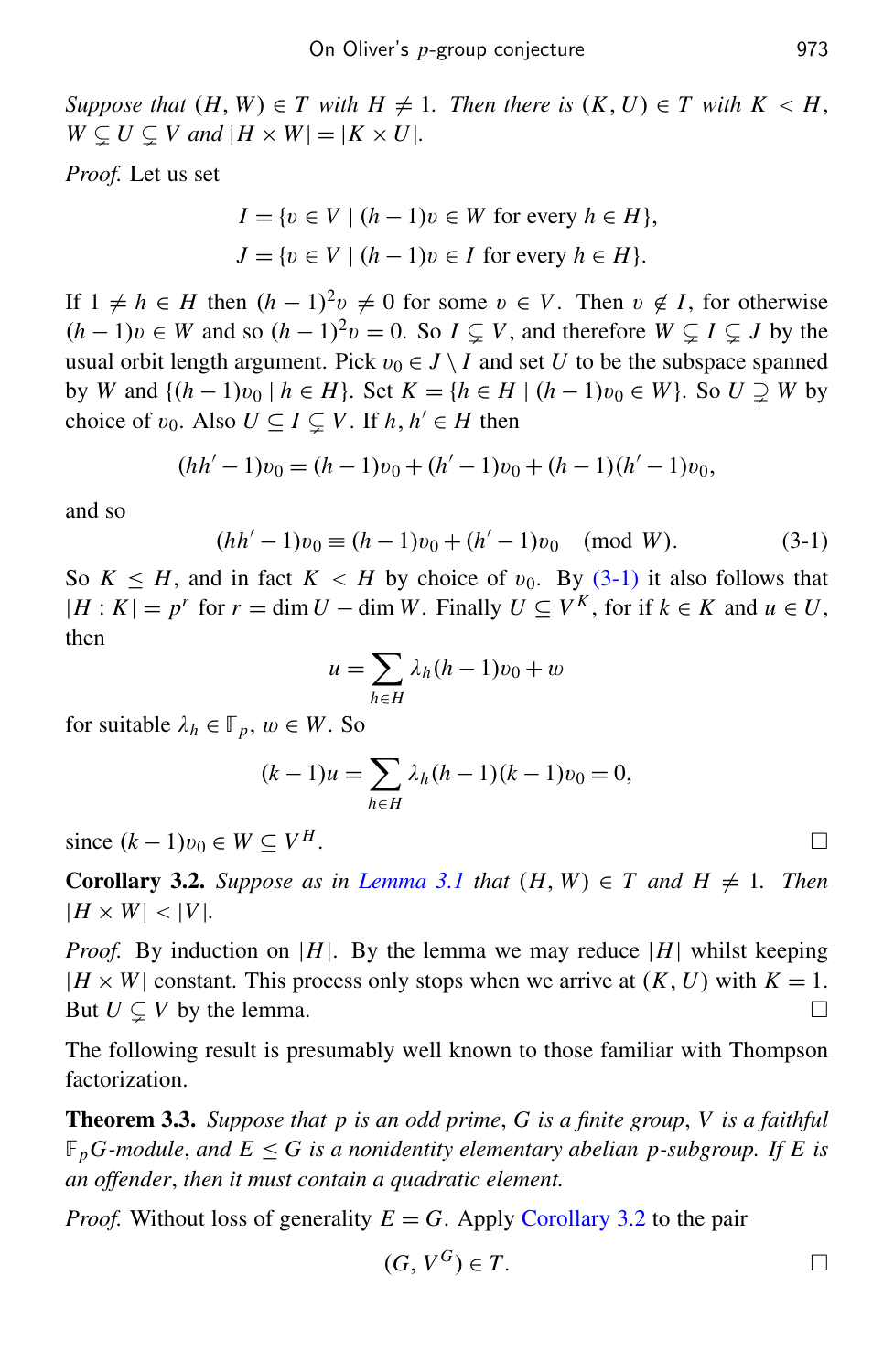*Suppose that*  $(H, W) \in T$  *with*  $H \neq 1$ *. Then there is*  $(K, U) \in T$  *with*  $K < H$ *,*  $W \subsetneq U \subsetneq V$  and  $|H \times W| = |K \times U|$ .

*Proof.* Let us set

$$
I = \{v \in V \mid (h - 1)v \in W \text{ for every } h \in H\},\
$$
  

$$
J = \{v \in V \mid (h - 1)v \in I \text{ for every } h \in H\}.
$$

If  $1 \neq h$  ∈ *H* then  $(h - 1)^2 v \neq 0$  for some  $v \in V$ . Then  $v \notin I$ , for otherwise  $(h-1)v \in W$  and so  $(h-1)^2v = 0$ . So  $I \subsetneq V$ , and therefore  $W \subsetneq I \subsetneq J$  by the usual orbit length argument. Pick  $v_0 \in J \setminus I$  and set *U* to be the subspace spanned by *W* and { $(h-1)v_0 | h ∈ H$ }. Set  $K = {h ∈ H | (h-1)v_0 ∈ W}$ . So  $U ⊇ W$  by choice of  $v_0$ . Also  $U \subseteq I \subsetneq V$ . If  $h, h' \in H$  then

<span id="page-5-1"></span>
$$
(hh'-1)v_0 = (h-1)v_0 + (h'-1)v_0 + (h-1)(h'-1)v_0,
$$

and so

$$
(hh'-1)v_0 \equiv (h-1)v_0 + (h'-1)v_0 \pmod{W}.
$$
 (3-1)

So  $K \leq H$ , and in fact  $K \leq H$  by choice of  $v_0$ . By [\(3-1\)](#page-5-1) it also follows that  $|H: K| = p^r$  for  $r = \dim U - \dim W$ . Finally  $U \subseteq V^K$ , for if  $k \in K$  and  $u \in U$ , then

$$
u = \sum_{h \in H} \lambda_h (h - 1) v_0 + w
$$

for suitable  $\lambda_h \in \mathbb{F}_p$ ,  $w \in W$ . So

$$
(k-1)u = \sum_{h \in H} \lambda_h (h-1)(k-1)v_0 = 0,
$$

since  $(k-1)v_0 \in W \subset V^H$ . *H* . □

<span id="page-5-2"></span>**Corollary 3.2.** Suppose as in [Lemma 3.1](#page-4-2) that  $(H, W) \in T$  and  $H \neq 1$ . Then  $|H \times W|$  < |*V*|*.* 

*Proof.* By induction on |*H*|. By the lemma we may reduce |*H*| whilst keeping  $|H \times W|$  constant. This process only stops when we arrive at  $(K, U)$  with  $K = 1$ . But  $U \subset V$  by the lemma.

The following result is presumably well known to those familiar with Thompson factorization.

<span id="page-5-0"></span>Theorem 3.3. *Suppose that p is an odd prime*, *G is a finite group*, *V is a faithful*  $\mathbb{F}_p$ *G-module, and*  $E \leq G$  *is a nonidentity elementary abelian p-subgroup. If E is an offender*, *then it must contain a quadratic element.*

*Proof.* Without loss of generality  $E = G$ . Apply [Corollary 3.2](#page-5-2) to the pair

$$
(G, V^G) \in T.
$$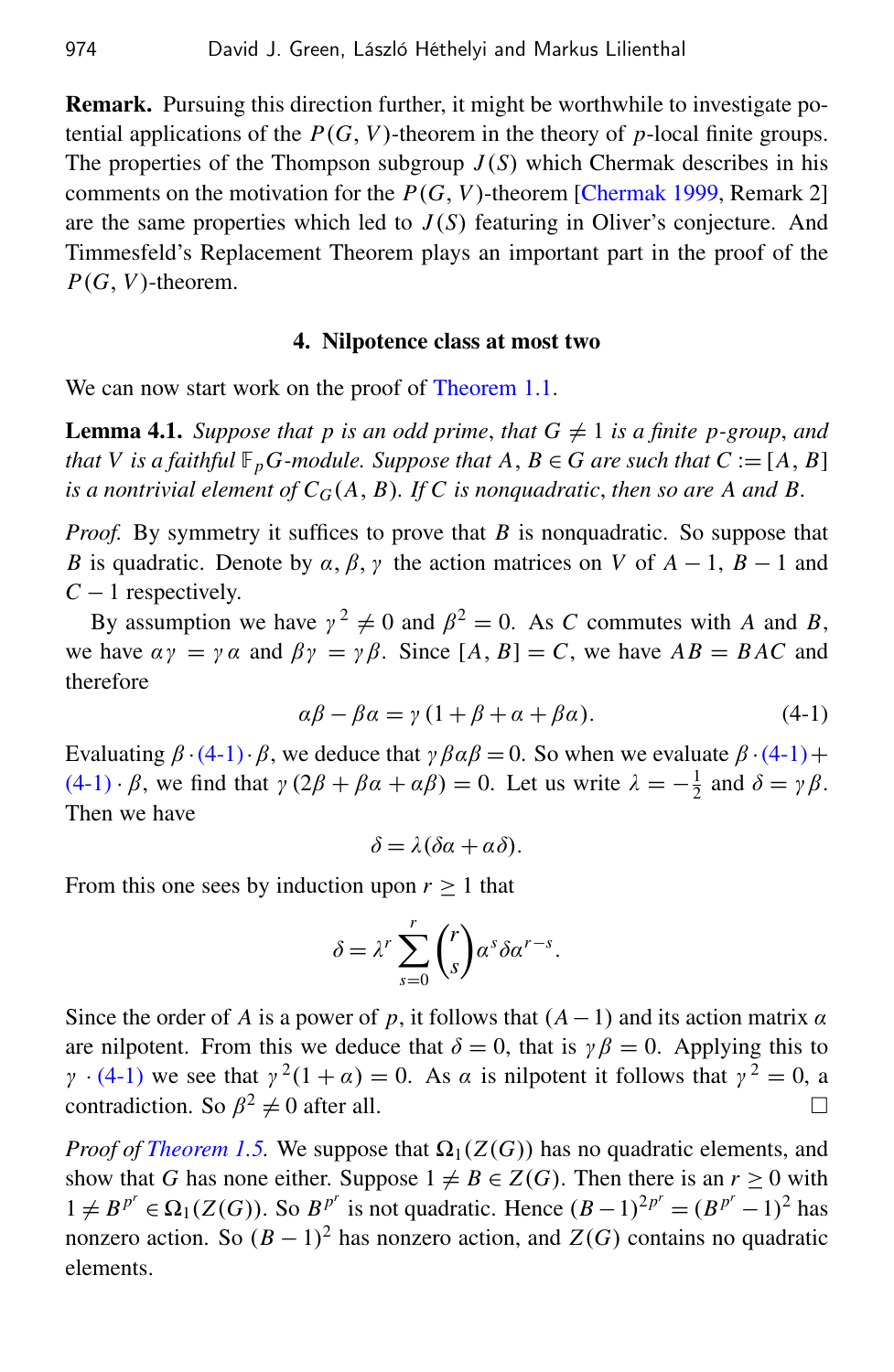Remark. Pursuing this direction further, it might be worthwhile to investigate potential applications of the  $P(G, V)$ -theorem in the theory of *p*-local finite groups. The properties of the Thompson subgroup  $J(S)$  which Chermak describes in his comments on the motivation for the  $P(G, V)$ -theorem [\[Chermak 1999,](#page-9-6) Remark 2] are the same properties which led to  $J(S)$  featuring in Oliver's conjecture. And Timmesfeld's Replacement Theorem plays an important part in the proof of the  $P(G, V)$ -theorem.

#### 4. Nilpotence class at most two

<span id="page-6-2"></span><span id="page-6-0"></span>We can now start work on the proof of [Theorem 1.1.](#page-1-0)

**Lemma 4.1.** *Suppose that p is an odd prime, that*  $G \neq 1$  *is a finite p-group, and that V is a faithful*  $\mathbb{F}_p$ *G-module. Suppose that*  $A, B \in G$  *are such that*  $C := [A, B]$ *is a nontrivial element of*  $C_G(A, B)$ *. If C is nonquadratic, then so are A and B.* 

*Proof.* By symmetry it suffices to prove that *B* is nonquadratic. So suppose that *B* is quadratic. Denote by  $\alpha$ ,  $\beta$ ,  $\gamma$  the action matrices on *V* of *A* − 1, *B* − 1 and *C* − 1 respectively.

<span id="page-6-1"></span>By assumption we have  $\gamma^2 \neq 0$  and  $\beta^2 = 0$ . As *C* commutes with *A* and *B*, we have  $\alpha \gamma = \gamma \alpha$  and  $\beta \gamma = \gamma \beta$ . Since  $[A, B] = C$ , we have  $AB = BAC$  and therefore

$$
\alpha\beta - \beta\alpha = \gamma (1 + \beta + \alpha + \beta\alpha). \tag{4-1}
$$

Evaluating  $\beta \cdot (4-1) \cdot \beta$  $\beta \cdot (4-1) \cdot \beta$  $\beta \cdot (4-1) \cdot \beta$ , we deduce that  $\gamma \beta \alpha \beta = 0$ . So when we evaluate  $\beta \cdot (4-1) +$  $(4-1)\cdot\beta$  $(4-1)\cdot\beta$ , we find that  $\gamma(2\beta+\beta\alpha+\alpha\beta)=0$ . Let us write  $\lambda=-\frac{1}{2}$  $\frac{1}{2}$  and  $\delta = \gamma \beta$ . Then we have

$$
\delta = \lambda(\delta \alpha + \alpha \delta).
$$

From this one sees by induction upon  $r > 1$  that

$$
\delta = \lambda^r \sum_{s=0}^r \binom{r}{s} \alpha^s \delta \alpha^{r-s}.
$$

Since the order of *A* is a power of *p*, it follows that  $(A-1)$  and its action matrix  $\alpha$ are nilpotent. From this we deduce that  $\delta = 0$ , that is  $\gamma \beta = 0$ . Applying this to  $\gamma$  · [\(4-1\)](#page-6-1) we see that  $\gamma^2(1+\alpha) = 0$ . As  $\alpha$  is nilpotent it follows that  $\gamma^2 = 0$ , a contradiction. So  $\beta^2 \neq 0$  after all.

*Proof of [Theorem 1.5.](#page-2-4)* We suppose that  $\Omega_1(Z(G))$  has no quadratic elements, and show that *G* has none either. Suppose  $1 \neq B \in Z(G)$ . Then there is an  $r > 0$  with  $1 ≠ B^{p^r} ∈ \Omega_1(Z(G))$ . So  $B^{p^r}$  is not quadratic. Hence  $(B-1)^{2p^r} = (B^{p^r} - 1)^2$  has nonzero action. So  $(B-1)^2$  has nonzero action, and  $Z(G)$  contains no quadratic elements.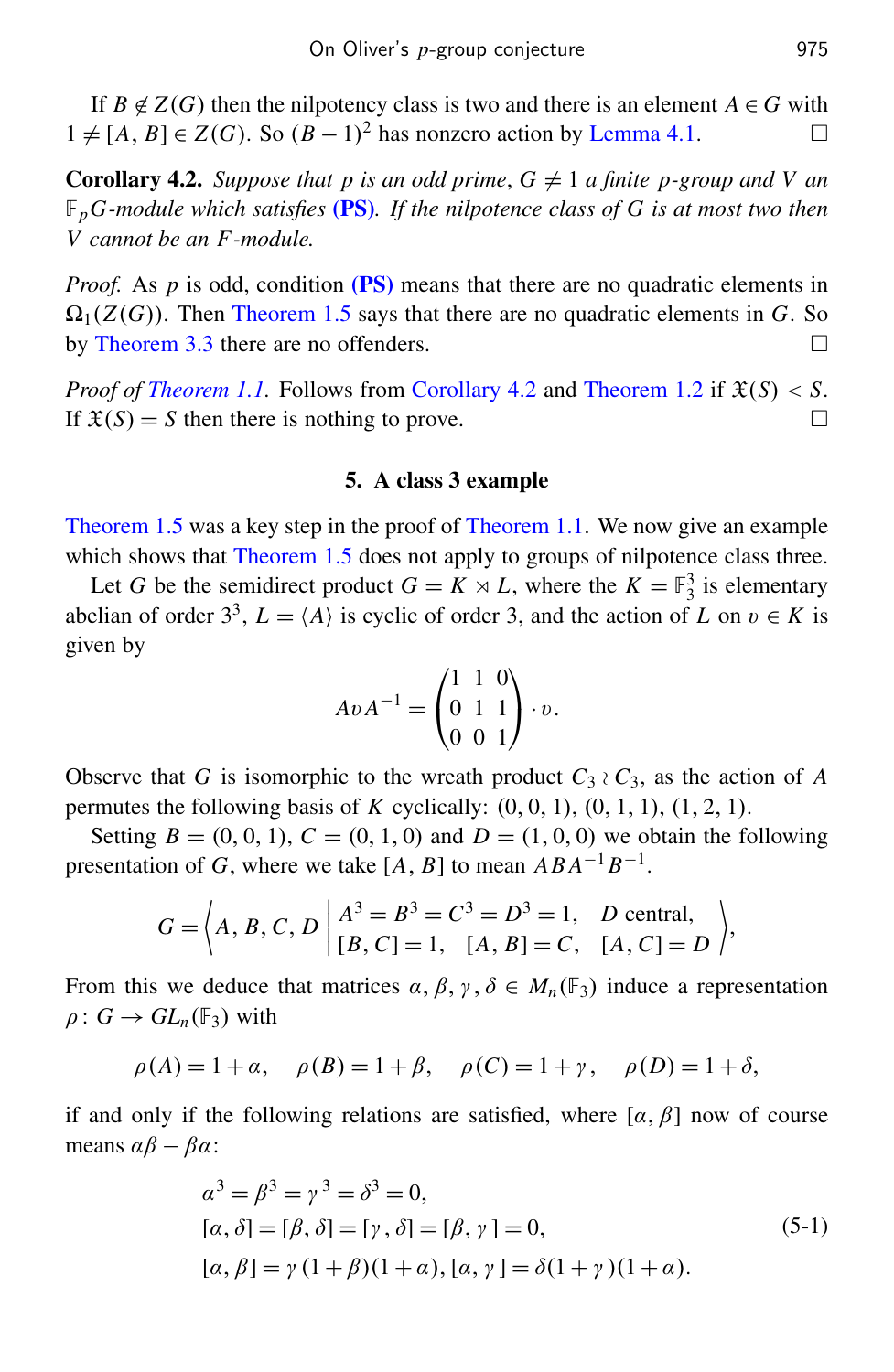If  $B \notin Z(G)$  then the nilpotency class is two and there is an element  $A \in G$  with  $1 \neq [A, B] \in Z(G)$ . So  $(B - 1)^2$  has nonzero action by [Lemma 4.1.](#page-6-2) □

<span id="page-7-1"></span>**Corollary 4.2.** *Suppose that p is an odd prime,*  $G \neq 1$  *a finite p-group and V an* F*pG-module which satisfies* [\(PS\)](#page-2-0)*. If the nilpotence class of G is at most two then V cannot be an F -module.*

*Proof.* As  $p$  is odd, condition [\(PS\)](#page-2-0) means that there are no quadratic elements in  $\Omega_1(Z(G))$ . Then [Theorem 1.5](#page-2-4) says that there are no quadratic elements in G. So by [Theorem 3.3](#page-5-0) there are no offenders.

*Proof of [Theorem 1.1.](#page-1-0)* Follows from [Corollary 4.2](#page-7-1) and [Theorem 1.2](#page-2-2) if  $\mathfrak{X}(S) < S$ . If  $\mathfrak{X}(S) = S$  then there is nothing to prove.

## 5. A class 3 example

<span id="page-7-0"></span>[Theorem 1.5](#page-2-4) was a key step in the proof of [Theorem 1.1.](#page-1-0) We now give an example which shows that [Theorem 1.5](#page-2-4) does not apply to groups of nilpotence class three.

Let *G* be the semidirect product  $G = K \rtimes L$ , where the  $K = \mathbb{F}_3^3$  is elementary abelian of order  $3^3$ ,  $L = \langle A \rangle$  is cyclic of order 3, and the action of *L* on  $v \in K$  is given by

$$
A v A^{-1} = \begin{pmatrix} 1 & 1 & 0 \\ 0 & 1 & 1 \\ 0 & 0 & 1 \end{pmatrix} \cdot v.
$$

Observe that *G* is isomorphic to the wreath product  $C_3 \wr C_3$ , as the action of *A* permutes the following basis of *K* cyclically:  $(0, 0, 1)$ ,  $(0, 1, 1)$ ,  $(1, 2, 1)$ .

Setting  $B = (0, 0, 1), C = (0, 1, 0)$  and  $D = (1, 0, 0)$  we obtain the following presentation of *G*, where we take [*A*, *B*] to mean  $ABA^{-1}B^{-1}$ .

$$
G = \left\langle A, B, C, D \mid A^3 = B^3 = C^3 = D^3 = 1, D \text{ central,}
$$
  
[B, C] = 1, [A, B] = C, [A, C] = D

From this we deduce that matrices  $\alpha, \beta, \gamma, \delta \in M_n(\mathbb{F}_3)$  induce a representation  $\rho: G \to GL_n(\mathbb{F}_3)$  with

$$
\rho(A) = 1 + \alpha
$$
,  $\rho(B) = 1 + \beta$ ,  $\rho(C) = 1 + \gamma$ ,  $\rho(D) = 1 + \delta$ ,

if and only if the following relations are satisfied, where  $[\alpha, \beta]$  now of course means  $\alpha\beta - \beta\alpha$ :

<span id="page-7-2"></span>
$$
\alpha^3 = \beta^3 = \gamma^3 = \delta^3 = 0,
$$
  
\n
$$
[\alpha, \delta] = [\beta, \delta] = [\gamma, \delta] = [\beta, \gamma] = 0,
$$
  
\n
$$
[\alpha, \beta] = \gamma (1 + \beta)(1 + \alpha), [\alpha, \gamma] = \delta(1 + \gamma)(1 + \alpha).
$$
\n(5-1)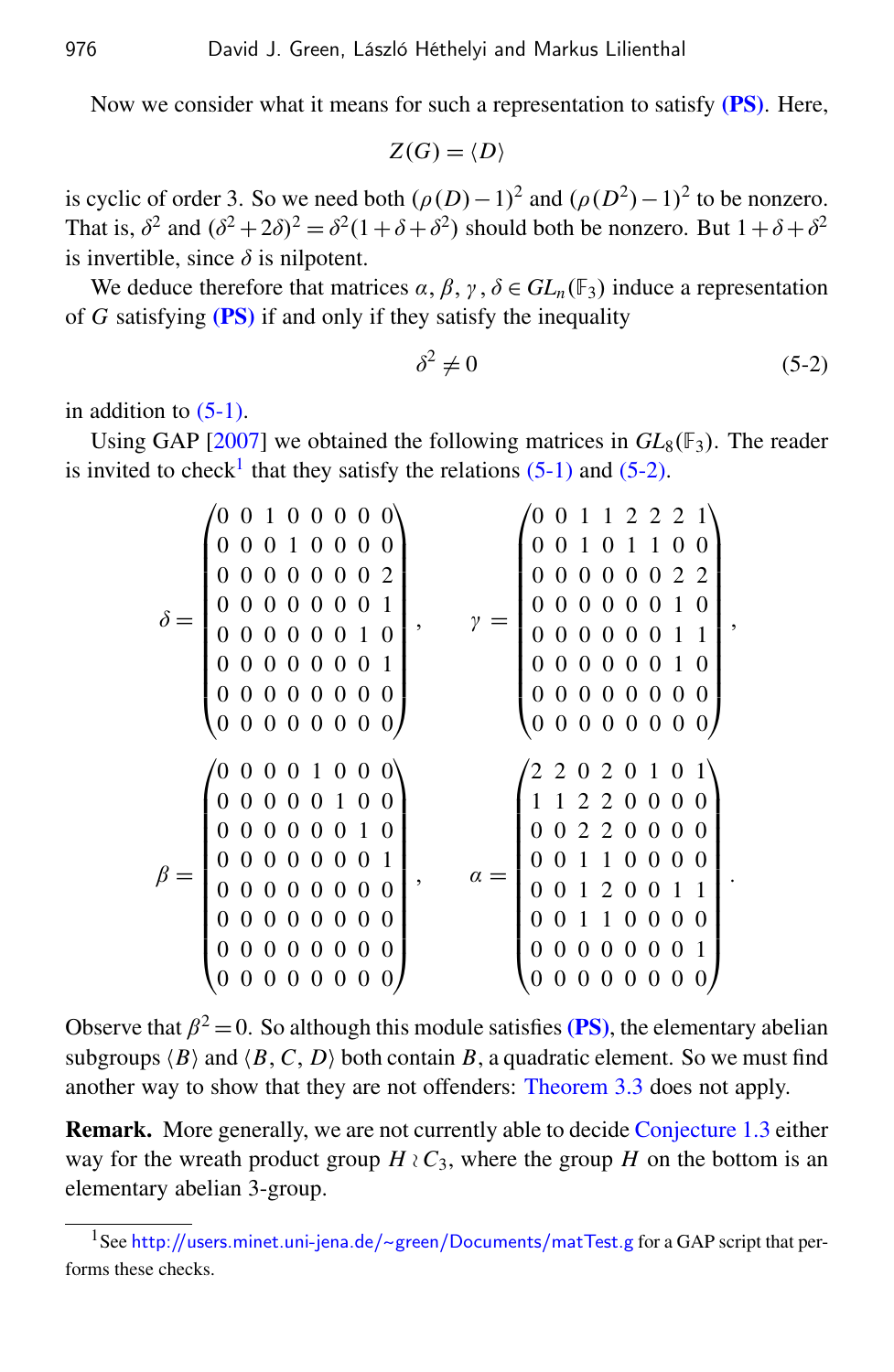Now we consider what it means for such a representation to satisfy  $(PS)$ . Here,

 $Z(G) = \langle D \rangle$ 

is cyclic of order 3. So we need both  $(\rho(D)-1)^2$  and  $(\rho(D^2)-1)^2$  to be nonzero. That is,  $\delta^2$  and  $(\delta^2 + 2\delta)^2 = \delta^2(1 + \delta + \delta^2)$  should both be nonzero. But  $1 + \delta + \delta^2$ is invertible, since  $\delta$  is nilpotent.

We deduce therefore that matrices  $\alpha$ ,  $\beta$ ,  $\gamma$ ,  $\delta \in GL_n(\mathbb{F}_3)$  induce a representation of *G* satisfying [\(PS\)](#page-2-0) if and only if they satisfy the inequality

<span id="page-8-1"></span>
$$
\delta^2 \neq 0 \tag{5-2}
$$

,

.

in addition to  $(5-1)$ .

Using GAP [\[2007\]](#page-9-7) we obtained the following matrices in  $GL_8(\mathbb{F}_3)$ . The reader is invited to check<sup>[1](#page-8-0)</sup> that they satisfy the relations  $(5-1)$  and  $(5-2)$ .

| $(0\; 0\; 1\; 0\; 0\; 0\; 0\; 0)$<br>0 0 0 1 0 0 0 0<br>00000002<br>0 0 0 0 0 0 0 1<br>0 0 0 0 0 1 0<br>0<br>0 0 0 0 0 0 0 1<br>000000000<br>(0 0 0 0 0 0 0 0)                               | 0 1 1 2 2 2 1<br>0 0 1 0 1 1 0 0<br>0 0 0 0 0 0 2 2<br>0 0 0 0 0 0 1 0<br>0 0 0 0 0 1 1<br>0<br>0 0 0 0 0 0 1 0<br>$0\;\; 0\;\; 0\;\; 0\;\; 0\;\; 0\;\; 0\;\; 0$<br>000000000      |
|----------------------------------------------------------------------------------------------------------------------------------------------------------------------------------------------|------------------------------------------------------------------------------------------------------------------------------------------------------------------------------------|
| (00001000)<br>0 0 0 0 0 1 0 0<br>0 0 0 0 0 0 1 0<br>000001<br>0 <sub>0</sub><br>,<br>0 0 0 0 0 0 0 0<br>0 0 0 0 0 0 0 0<br>0000000<br>0<br>00000<br>$\boldsymbol{0}$<br>$\theta$<br>$\theta$ | $(2\; 2\; 0\; 2\; 0\; 1\; 0\; 1)$<br>1 1 2 2 0 0 0 0<br>0 0 2 2 0 0 0 0<br>1 1 0 0 0 0<br>0<br>0 0 1 2 0 0 1 1<br>0 0 1 1 0 0 0 0<br>0 0 0 0 1<br>$\overline{0}$<br>0 0 0 0 0<br>0 |

Observe that  $\beta^2 = 0$ . So although this module satisfies [\(PS\)](#page-2-0), the elementary abelian subgroups  $\langle B \rangle$  and  $\langle B, C, D \rangle$  both contain *B*, a quadratic element. So we must find another way to show that they are not offenders: [Theorem 3.3](#page-5-0) does not apply.

Remark. More generally, we are not currently able to decide [Conjecture 1.3](#page-2-1) either way for the wreath product group  $H \wr C_3$ , where the group *H* on the bottom is an elementary abelian 3-group.

<span id="page-8-0"></span><sup>&</sup>lt;sup>1</sup>See [http://users.minet.uni-jena.de/](http://users.minet.uni-jena.de/~green/Documents/matTest.g)~green/Documents/matTest.g for a GAP script that performs these checks.